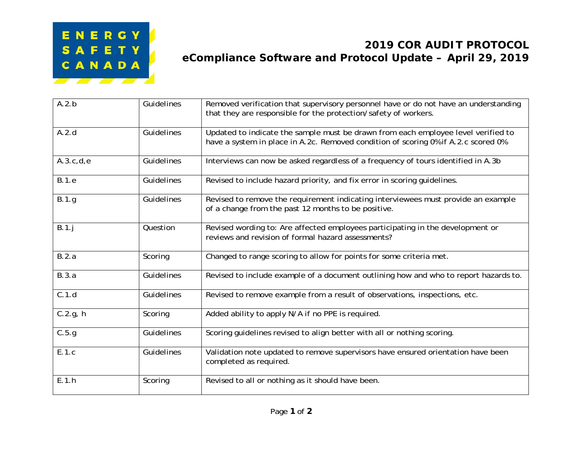

## **2019 COR AUDIT PROTOCOL eCompliance Software and Protocol Update – April 29, 2019**

| A.2.b        | <b>Guidelines</b> | Removed verification that supervisory personnel have or do not have an understanding<br>that they are responsible for the protection/safety of workers.                 |
|--------------|-------------------|-------------------------------------------------------------------------------------------------------------------------------------------------------------------------|
| A.2.d        | Guidelines        | Updated to indicate the sample must be drawn from each employee level verified to<br>have a system in place in A.2c. Removed condition of scoring 0% if A.2.c scored 0% |
| A.3.c.d.e    | Guidelines        | Interviews can now be asked regardless of a frequency of tours identified in A.3b                                                                                       |
| <b>B.1.e</b> | Guidelines        | Revised to include hazard priority, and fix error in scoring guidelines.                                                                                                |
| B.1.g        | Guidelines        | Revised to remove the requirement indicating interviewees must provide an example<br>of a change from the past 12 months to be positive.                                |
| B.1.j        | Question          | Revised wording to: Are affected employees participating in the development or<br>reviews and revision of formal hazard assessments?                                    |
| B.2.a        | Scoring           | Changed to range scoring to allow for points for some criteria met.                                                                                                     |
| B.3.a        | Guidelines        | Revised to include example of a document outlining how and who to report hazards to.                                                                                    |
| C.1.d        | <b>Guidelines</b> | Revised to remove example from a result of observations, inspections, etc.                                                                                              |
| $C.2.g.$ h   | Scoring           | Added ability to apply N/A if no PPE is required.                                                                                                                       |
| C.5.g        | Guidelines        | Scoring guidelines revised to align better with all or nothing scoring.                                                                                                 |
| E.1.c        | Guidelines        | Validation note updated to remove supervisors have ensured orientation have been<br>completed as required.                                                              |
| E.1.h        | Scoring           | Revised to all or nothing as it should have been.                                                                                                                       |